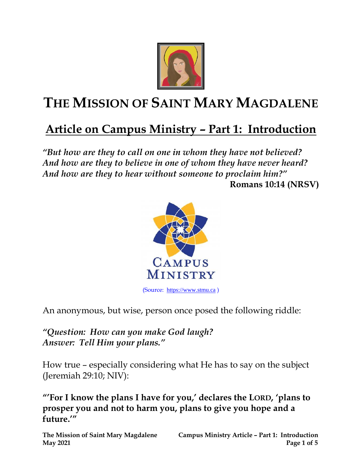

## **THE MISSION OF SAINT MARY MAGDALENE**

## **Article on Campus Ministry – Part 1: Introduction**

*"But how are they to call on one in whom they have not believed? And how are they to believe in one of whom they have never heard? And how are they to hear without someone to proclaim him?"*  **Romans 10:14 (NRSV)**



An anonymous, but wise, person once posed the following riddle:

*"Question: How can you make God laugh? Answer: Tell Him your plans."*

How true – especially considering what He has to say on the subject (Jeremiah 29:10; NIV):

**"'For I know the plans I have for you, ' declares the LORD, 'plans to prosper you and not to harm you, plans to give you hope and a future.'"**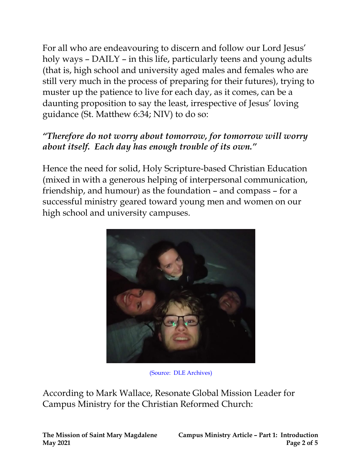For all who are endeavouring to discern and follow our Lord Jesus' holy ways – DAILY – in this life, particularly teens and young adults (that is, high school and university aged males and females who are still very much in the process of preparing for their futures), trying to muster up the patience to live for each day, as it comes, can be a daunting proposition to say the least, irrespective of Jesus' loving guidance (St. Matthew 6:34; NIV) to do so:

## *"Therefore do not worry about tomorrow, for tomorrow will worry about itself. Each day has enough trouble of its own."*

Hence the need for solid, Holy Scripture-based Christian Education (mixed in with a generous helping of interpersonal communication, friendship, and humour) as the foundation – and compass – for a successful ministry geared toward young men and women on our high school and university campuses.



(Source: DLE Archives)

According to Mark Wallace, Resonate Global Mission Leader for Campus Ministry for the Christian Reformed Church: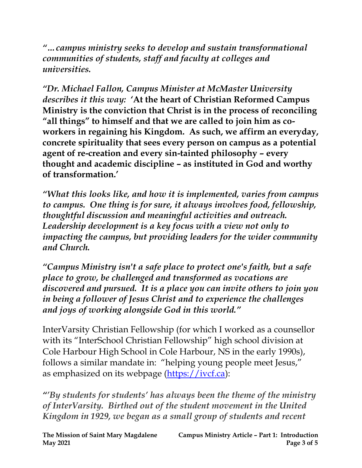*"…campus ministry seeks to develop and sustain transformational communities of students, staff and faculty at colleges and universities.*

*"Dr. Michael Fallon, Campus Minister at McMaster University describes it this way:* **'At the heart of Christian Reformed Campus Ministry is the conviction that Christ is in the process of reconciling "all things" to himself and that we are called to join him as coworkers in regaining his Kingdom. As such, we affirm an everyday, concrete spirituality that sees every person on campus as a potential agent of re-creation and every sin-tainted philosophy – every thought and academic discipline – as instituted in God and worthy of transformation.'**

*"What this looks like, and how it is implemented, varies from campus to campus. One thing is for sure, it always involves food, fellowship, thoughtful discussion and meaningful activities and outreach. Leadership development is a key focus with a view not only to impacting the campus, but providing leaders for the wider community and Church.*

*"Campus Ministry isn't a safe place to protect one's faith, but a safe place to grow, be challenged and transformed as vocations are discovered and pursued. It is a place you can invite others to join you in being a follower of Jesus Christ and to experience the challenges and joys of working alongside God in this world."*

InterVarsity Christian Fellowship (for which I worked as a counsellor with its "InterSchool Christian Fellowship" high school division at Cole Harbour High School in Cole Harbour, NS in the early 1990s), follows a similar mandate in: "helping young people meet Jesus," as emphasized on its webpage [\(https://ivcf.ca\)](https://ivcf.ca/):

*"'By students for students' has always been the theme of the ministry of InterVarsity. Birthed out of the student movement in the United Kingdom in 1929, we began as a small group of students and recent*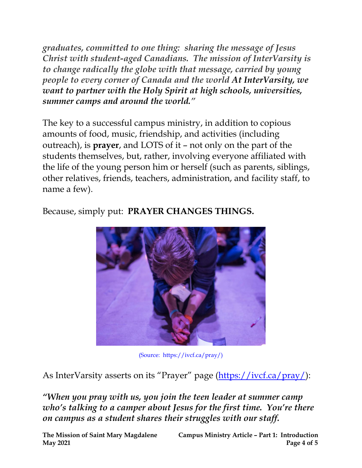*graduates, committed to one thing: sharing the message of Jesus Christ with student-aged Canadians. The mission of InterVarsity is to change radically the globe with that message, carried by young people to every corner of Canada and the world At InterVarsity, we want to partner with the Holy Spirit at high schools, universities, summer camps and around the world."*

The key to a successful campus ministry, in addition to copious amounts of food, music, friendship, and activities (including outreach), is **prayer**, and LOTS of it – not only on the part of the students themselves, but, rather, involving everyone affiliated with the life of the young person him or herself (such as parents, siblings, other relatives, friends, teachers, administration, and facility staff, to name a few).

Because, simply put: **PRAYER CHANGES THINGS.**



(Source: https://ivcf.ca/pray/)

As InterVarsity asserts on its "Prayer" page [\(https://ivcf.ca/pray/\)](https://ivcf.ca/pray/):

*"When you pray with us, you join the teen leader at summer camp who's talking to a camper about Jesus for the first time. You're there on campus as a student shares their struggles with our staff.*